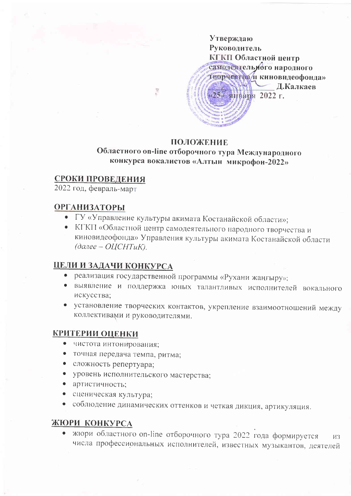

### **ПОЛОЖЕНИЕ**

# Областного on-line отборочного тура Международного конкурса вокалистов «Алтын микрофон-2022»

## СРОКИ ПРОВЕДЕНИЯ

2022 год, февраль-март

## **ОРГАНИЗАТОРЫ**

- ГУ «Управление культуры акимата Костанайской области»;
- КГКП «Областной центр самодеятельного народного творчества и киновидеофонда» Управления культуры акимата Костанайской области  $(0a$ лее - ОЦСНТиК).

### ЦЕЛИ И ЗАДАЧИ КОНКУРСА

- реализация государственной программы «Рухани жаңғыру»;
- выявление и поддержка юных талантливых исполнителей вокального искусства;
- установление творческих контактов, укрепление взаимоотношений между коллективами и руководителями.

### **КРИТЕРИИ ОЦЕНКИ**

- чистота интонирования;
- точная передача темпа, ритма;
- сложность репертуара;
- уровень исполнительского мастерства;
- артистичность;
- сценическая культура;
- соблюдение динамических оттенков и четкая дикция, артикуляция.

### ЖЮРИ КОНКУРСА

• жюри областного on-line отборочного тура 2022 года формируется  $H3$ числа профессиональных исполнителей, известных музыкантов, деятелей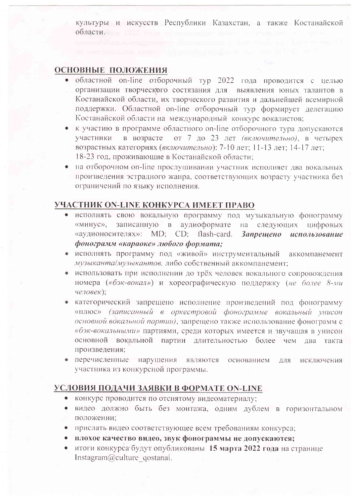культуры и искусств Республики Казахстан, а также Костанайской области. В последник собласти.

#### ОСНОВНЫЕ ПОЛОЖЕНИЯ

- областной on-line отборочный тур 2022 года проводится с целью организации творческого состязания для выявления юных талантов в Костанайской области, их творческого развития и дальнейшей всемирной поддержки. Областной on-line отборочный тур формирует делегацию Костанайской области на международный конкурс вокалистов;
- к участию в программе областного on-line отборочного тура допускаются участники в возрасте от 7 до 23 лет (включительно), в четырех возрастных категориях (включительно): 7-10 лет; 11-13 лет; 14-17 лет; 18-23 год, проживающие в Костанайской области;
- на отборочном on-line прослушивании участник исполняет два вокальных произведения эстрадного жанра, соответствующих возрасту участника без ограничений по языку исполнения.

## УЧАСТНИК ON-LINE КОНКУРСА ИМЕЕТ ПРАВО

- исполнять свою вокальную программу под музыкальную фонограмму «минус», записанную в аудиоформате на следующих цифровых «аудионосителях»: MD; CD; flash-card. **Запрешено** использование фонограмм «караоке» любого формата;
- исполнять программу под «живой» инструментальный аккомпанемент музыканта/музыкантов, либо собственный аккомпанемент;
- использовать при исполнении до трёх человек вокального сопровождения номера («бэк-вокал») и хореографическую поддержку (не более 8-ми  $(4e.106eK);$
- категорический запрещено исполнение произведений под фонограмму «плюс» (записанный в оркестровой фонограмме вокальный унисон основной вокальной партии), запрещено также использование фонограмм с «бэк-вокальными» партиями, среди которых имеется и звучащая в унисон основной вокальной партии длительностью более чем два такта произведения;
- перечисленные нарушения являются основанием ДЛЯ исключения участника из конкурсной программы.

### УСЛОВИЯ ПОДАЧИ ЗАЯВКИ В ФОРМАТЕ ON-LINE

- конкурс проводится по отснятому видеоматериалу;
- видео должно быть без монтажа, одним дублем в горизонтальном  $\bullet$ положении;
- прислать видео соответствующее всем требованиям конкурса;  $\bullet$
- плохое качество видео, звук фонограммы не допускаются;
- итоги конкурса будут опубликованы 15 марта 2022 года на странице Instagram@culture\_qostanai.